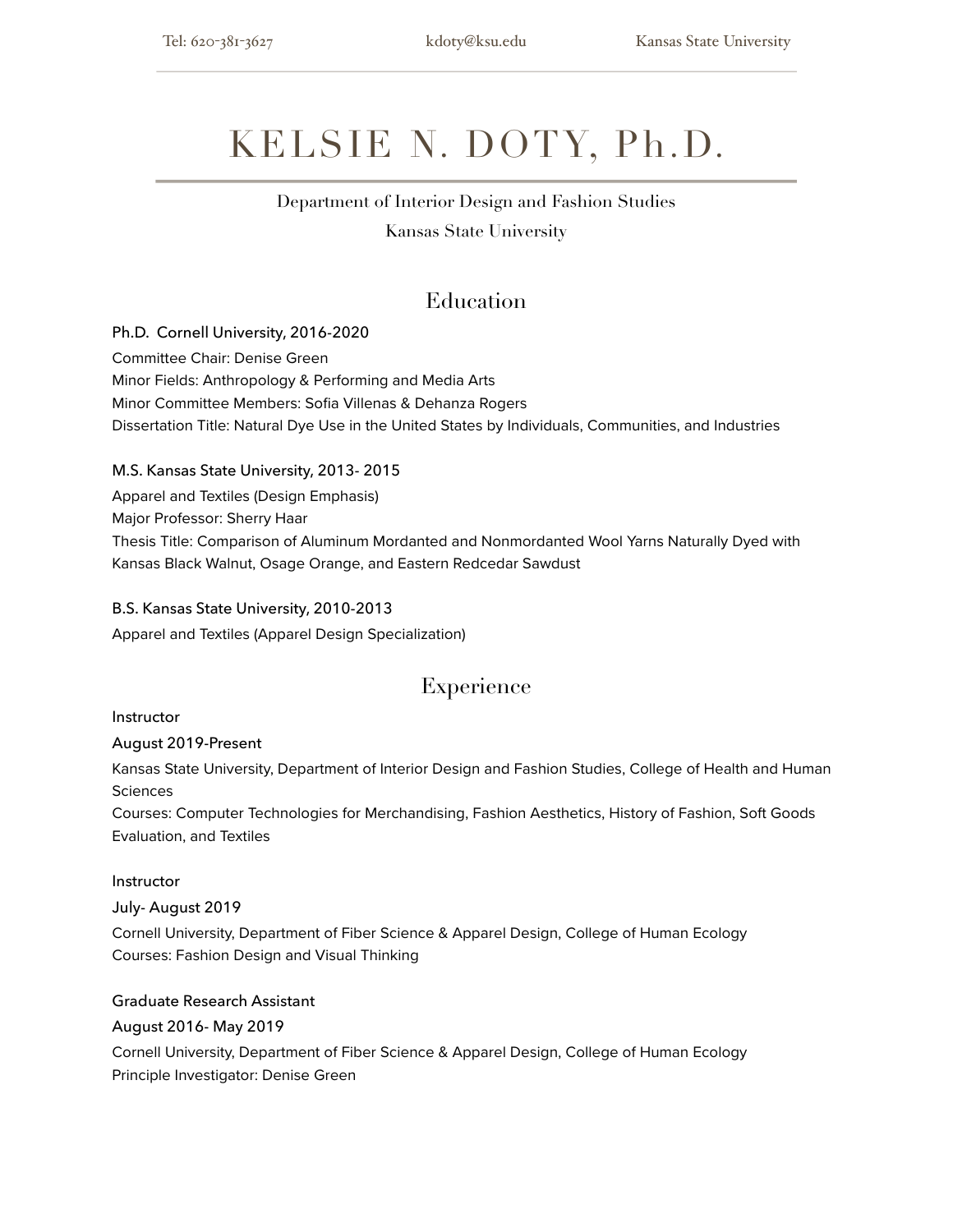# KELSIE N. DOTY, Ph.D.

## Department of Interior Design and Fashion Studies

Kansas State University

### Education

Ph.D. Cornell University, 2016-2020 Committee Chair: Denise Green Minor Fields: Anthropology & Performing and Media Arts Minor Committee Members: Sofia Villenas & Dehanza Rogers Dissertation Title: Natural Dye Use in the United States by Individuals, Communities, and Industries

#### M.S. Kansas State University, 2013- 2015

Apparel and Textiles (Design Emphasis) Major Professor: Sherry Haar Thesis Title: Comparison of Aluminum Mordanted and Nonmordanted Wool Yarns Naturally Dyed with Kansas Black Walnut, Osage Orange, and Eastern Redcedar Sawdust

#### B.S. Kansas State University, 2010-2013

Apparel and Textiles (Apparel Design Specialization)

### Experience

#### Instructor

#### August 2019-Present

Kansas State University, Department of Interior Design and Fashion Studies, College of Health and Human **Sciences** 

Courses: Computer Technologies for Merchandising, Fashion Aesthetics, History of Fashion, Soft Goods Evaluation, and Textiles

#### Instructor

#### July- August 2019

Cornell University, Department of Fiber Science & Apparel Design, College of Human Ecology Courses: Fashion Design and Visual Thinking

#### Graduate Research Assistant

#### August 2016- May 2019

Cornell University, Department of Fiber Science & Apparel Design, College of Human Ecology Principle Investigator: Denise Green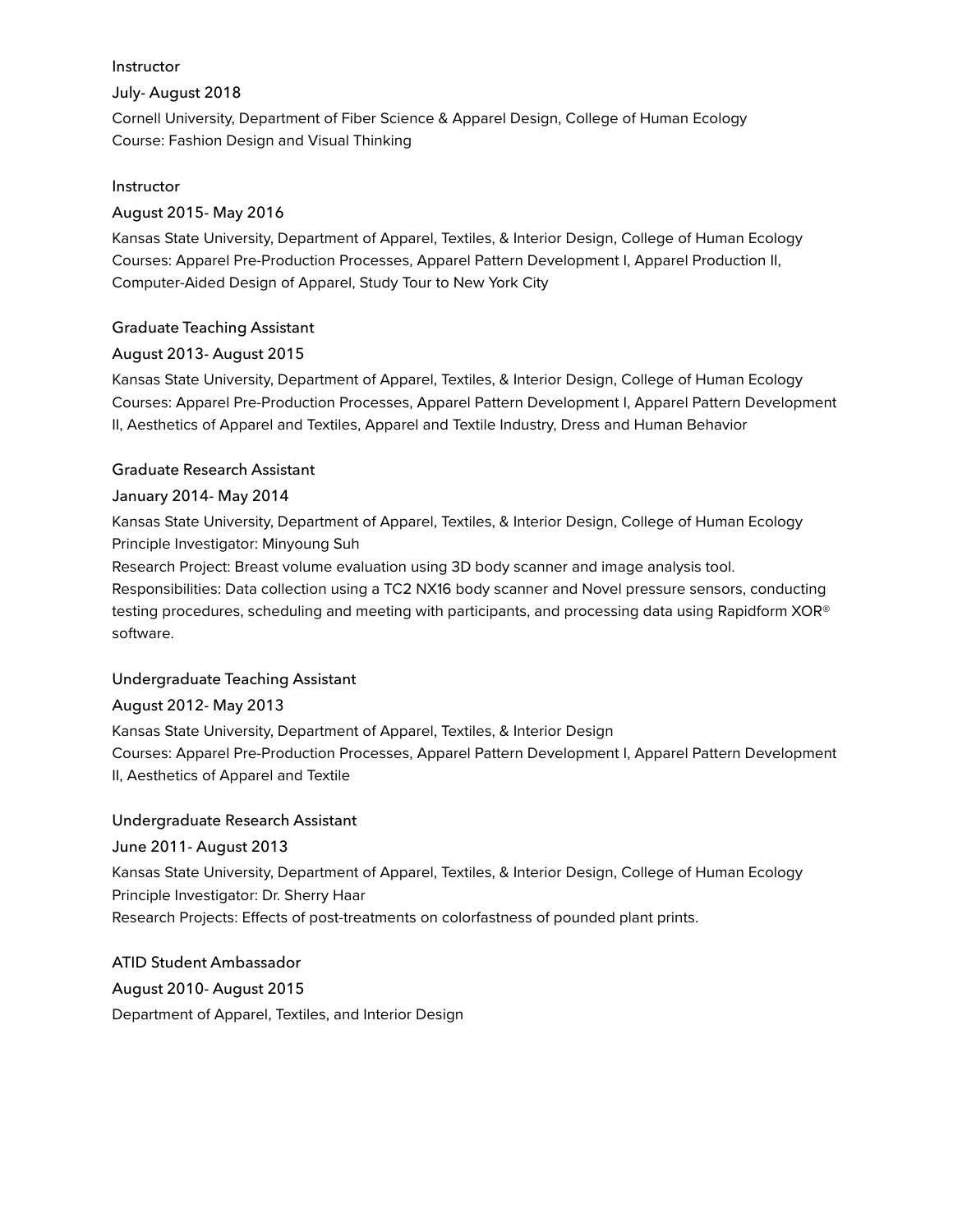#### Instructor

#### July- August 2018

Cornell University, Department of Fiber Science & Apparel Design, College of Human Ecology Course: Fashion Design and Visual Thinking

#### Instructor

#### August 2015- May 2016

Kansas State University, Department of Apparel, Textiles, & Interior Design, College of Human Ecology Courses: Apparel Pre-Production Processes, Apparel Pattern Development I, Apparel Production II, Computer-Aided Design of Apparel, Study Tour to New York City

#### Graduate Teaching Assistant

#### August 2013- August 2015

Kansas State University, Department of Apparel, Textiles, & Interior Design, College of Human Ecology Courses: Apparel Pre-Production Processes, Apparel Pattern Development I, Apparel Pattern Development II, Aesthetics of Apparel and Textiles, Apparel and Textile Industry, Dress and Human Behavior

#### Graduate Research Assistant

#### January 2014- May 2014

Kansas State University, Department of Apparel, Textiles, & Interior Design, College of Human Ecology Principle Investigator: Minyoung Suh

Research Project: Breast volume evaluation using 3D body scanner and image analysis tool. Responsibilities: Data collection using a TC2 NX16 body scanner and Novel pressure sensors, conducting testing procedures, scheduling and meeting with participants, and processing data using Rapidform XOR® software.

#### Undergraduate Teaching Assistant

#### August 2012- May 2013

Kansas State University, Department of Apparel, Textiles, & Interior Design Courses: Apparel Pre-Production Processes, Apparel Pattern Development I, Apparel Pattern Development II, Aesthetics of Apparel and Textile

#### Undergraduate Research Assistant

#### June 2011- August 2013

Kansas State University, Department of Apparel, Textiles, & Interior Design, College of Human Ecology Principle Investigator: Dr. Sherry Haar Research Projects: Effects of post-treatments on colorfastness of pounded plant prints.

#### ATID Student Ambassador

August 2010- August 2015

Department of Apparel, Textiles, and Interior Design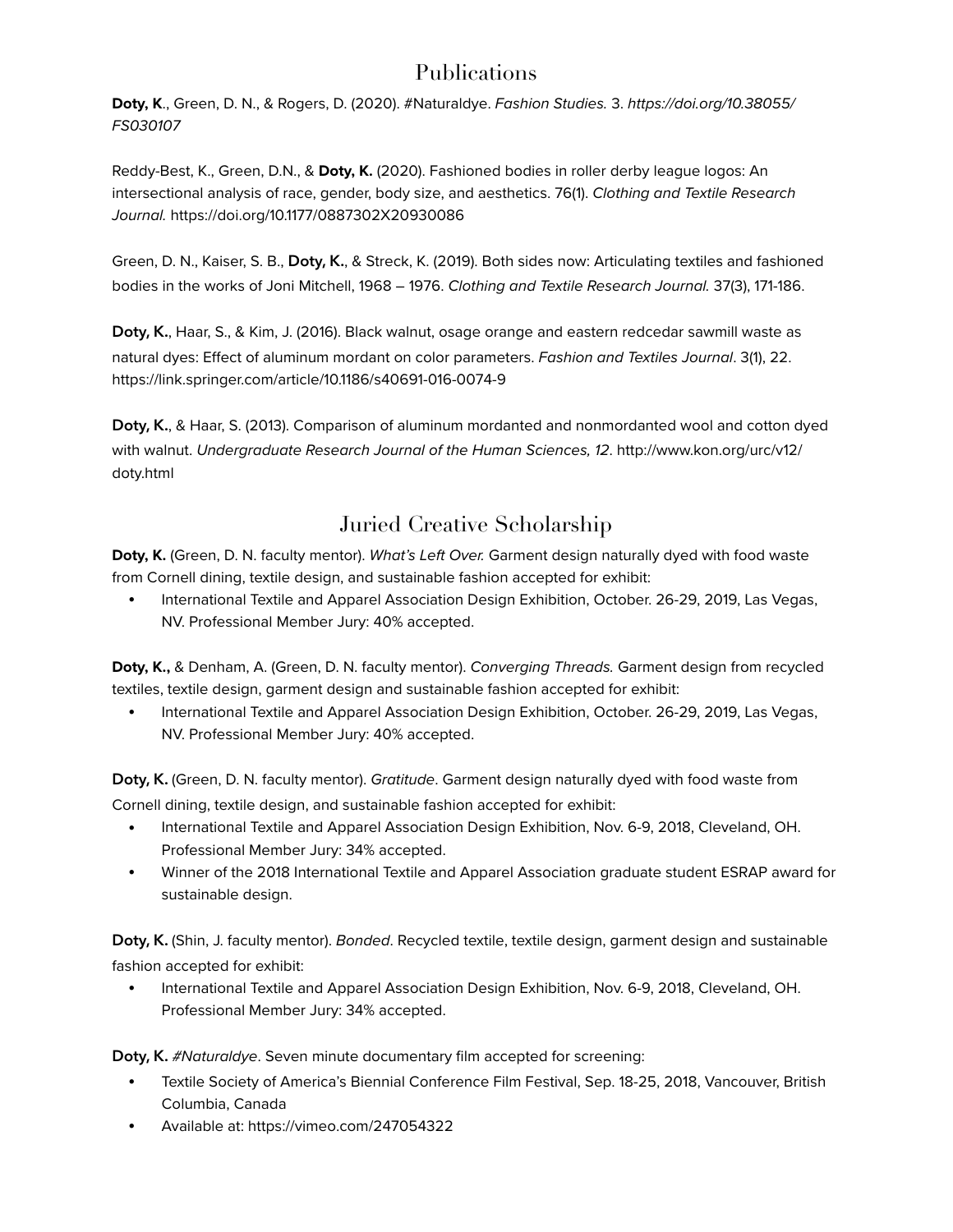### Publications

**Doty, K**., Green, D. N., & Rogers, D. (2020). #Naturaldye. *Fashion Studies.* 3. *https://doi.org/10.38055/ FS030107*

Reddy-Best, K., Green, D.N., & **Doty, K.** (2020). Fashioned bodies in roller derby league logos: An intersectional analysis of race, gender, body size, and aesthetics. 76(1). *Clothing and Textile Research Journal.* https://doi.org/10.1177/0887302X20930086

Green, D. N., Kaiser, S. B., **Doty, K.**, & Streck, K. (2019). Both sides now: Articulating textiles and fashioned bodies in the works of Joni Mitchell, 1968 – 1976. *Clothing and Textile Research Journal.* 37(3), 171-186.

**Doty, K.**, Haar, S., & Kim, J. (2016). Black walnut, osage orange and eastern redcedar sawmill waste as natural dyes: Effect of aluminum mordant on color parameters. *Fashion and Textiles Journal*. 3(1), 22. https://link.springer.com/article/10.1186/s40691-016-0074-9

**Doty, K.**, & Haar, S. (2013). Comparison of aluminum mordanted and nonmordanted wool and cotton dyed with walnut. *Undergraduate Research Journal of the Human Sciences, 12*. http://www.kon.org/urc/v12/ doty.html

### Juried Creative Scholarship

**Doty, K.** (Green, D. N. faculty mentor). *What's Left Over.* Garment design naturally dyed with food waste from Cornell dining, textile design, and sustainable fashion accepted for exhibit:

• International Textile and Apparel Association Design Exhibition, October. 26-29, 2019, Las Vegas, NV. Professional Member Jury: 40% accepted.

**Doty, K.,** & Denham, A. (Green, D. N. faculty mentor). *Converging Threads.* Garment design from recycled textiles, textile design, garment design and sustainable fashion accepted for exhibit:

• International Textile and Apparel Association Design Exhibition, October. 26-29, 2019, Las Vegas, NV. Professional Member Jury: 40% accepted.

**Doty, K.** (Green, D. N. faculty mentor). *Gratitude*. Garment design naturally dyed with food waste from Cornell dining, textile design, and sustainable fashion accepted for exhibit:

- International Textile and Apparel Association Design Exhibition, Nov. 6-9, 2018, Cleveland, OH. Professional Member Jury: 34% accepted.
- Winner of the 2018 International Textile and Apparel Association graduate student ESRAP award for sustainable design.

**Doty, K.** (Shin, J. faculty mentor). *Bonded*. Recycled textile, textile design, garment design and sustainable fashion accepted for exhibit:

• International Textile and Apparel Association Design Exhibition, Nov. 6-9, 2018, Cleveland, OH. Professional Member Jury: 34% accepted.

**Doty, K.** *#Naturaldye*. Seven minute documentary film accepted for screening:

- Textile Society of America's Biennial Conference Film Festival, Sep. 18-25, 2018, Vancouver, British Columbia, Canada
- Available at: https://vimeo.com/247054322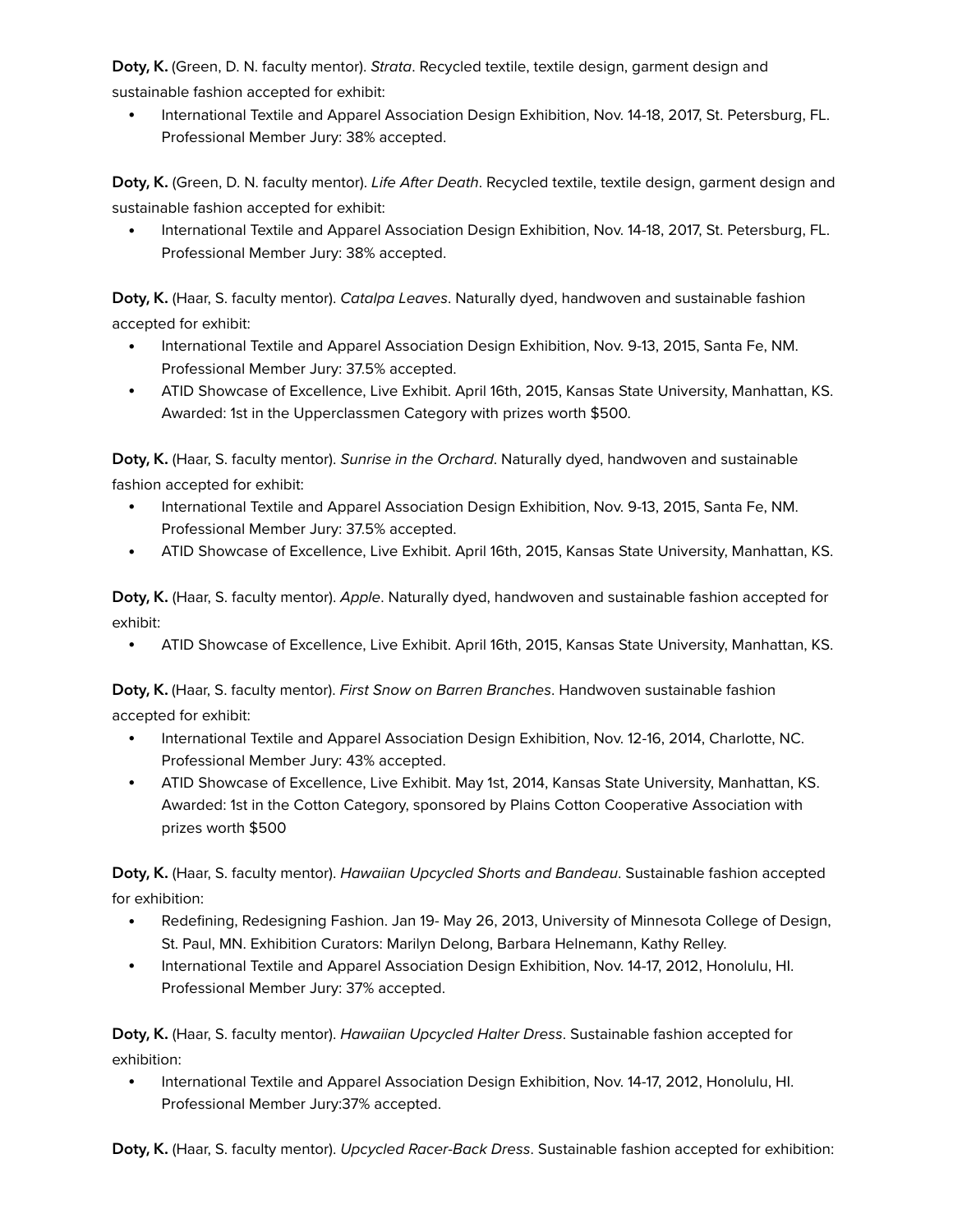**Doty, K.** (Green, D. N. faculty mentor). *Strata*. Recycled textile, textile design, garment design and sustainable fashion accepted for exhibit:

• International Textile and Apparel Association Design Exhibition, Nov. 14-18, 2017, St. Petersburg, FL. Professional Member Jury: 38% accepted.

**Doty, K.** (Green, D. N. faculty mentor). *Life After Death*. Recycled textile, textile design, garment design and sustainable fashion accepted for exhibit:

• International Textile and Apparel Association Design Exhibition, Nov. 14-18, 2017, St. Petersburg, FL. Professional Member Jury: 38% accepted.

**Doty, K.** (Haar, S. faculty mentor). *Catalpa Leaves*. Naturally dyed, handwoven and sustainable fashion accepted for exhibit:

- International Textile and Apparel Association Design Exhibition, Nov. 9-13, 2015, Santa Fe, NM. Professional Member Jury: 37.5% accepted.
- ATID Showcase of Excellence, Live Exhibit. April 16th, 2015, Kansas State University, Manhattan, KS. Awarded: 1st in the Upperclassmen Category with prizes worth \$500.

**Doty, K.** (Haar, S. faculty mentor). *Sunrise in the Orchard*. Naturally dyed, handwoven and sustainable fashion accepted for exhibit:

- International Textile and Apparel Association Design Exhibition, Nov. 9-13, 2015, Santa Fe, NM. Professional Member Jury: 37.5% accepted.
- ATID Showcase of Excellence, Live Exhibit. April 16th, 2015, Kansas State University, Manhattan, KS.

**Doty, K.** (Haar, S. faculty mentor). *Apple*. Naturally dyed, handwoven and sustainable fashion accepted for exhibit:

• ATID Showcase of Excellence, Live Exhibit. April 16th, 2015, Kansas State University, Manhattan, KS.

**Doty, K.** (Haar, S. faculty mentor). *First Snow on Barren Branches*. Handwoven sustainable fashion accepted for exhibit:

- International Textile and Apparel Association Design Exhibition, Nov. 12-16, 2014, Charlotte, NC. Professional Member Jury: 43% accepted.
- ATID Showcase of Excellence, Live Exhibit. May 1st, 2014, Kansas State University, Manhattan, KS. Awarded: 1st in the Cotton Category, sponsored by Plains Cotton Cooperative Association with prizes worth \$500

**Doty, K.** (Haar, S. faculty mentor). *Hawaiian Upcycled Shorts and Bandeau*. Sustainable fashion accepted for exhibition:

- Redefining, Redesigning Fashion. Jan 19- May 26, 2013, University of Minnesota College of Design, St. Paul, MN. Exhibition Curators: Marilyn Delong, Barbara Helnemann, Kathy Relley.
- International Textile and Apparel Association Design Exhibition, Nov. 14-17, 2012, Honolulu, HI. Professional Member Jury: 37% accepted.

**Doty, K.** (Haar, S. faculty mentor). *Hawaiian Upcycled Halter Dress*. Sustainable fashion accepted for exhibition:

• International Textile and Apparel Association Design Exhibition, Nov. 14-17, 2012, Honolulu, HI. Professional Member Jury:37% accepted.

**Doty, K.** (Haar, S. faculty mentor). *Upcycled Racer-Back Dress*. Sustainable fashion accepted for exhibition: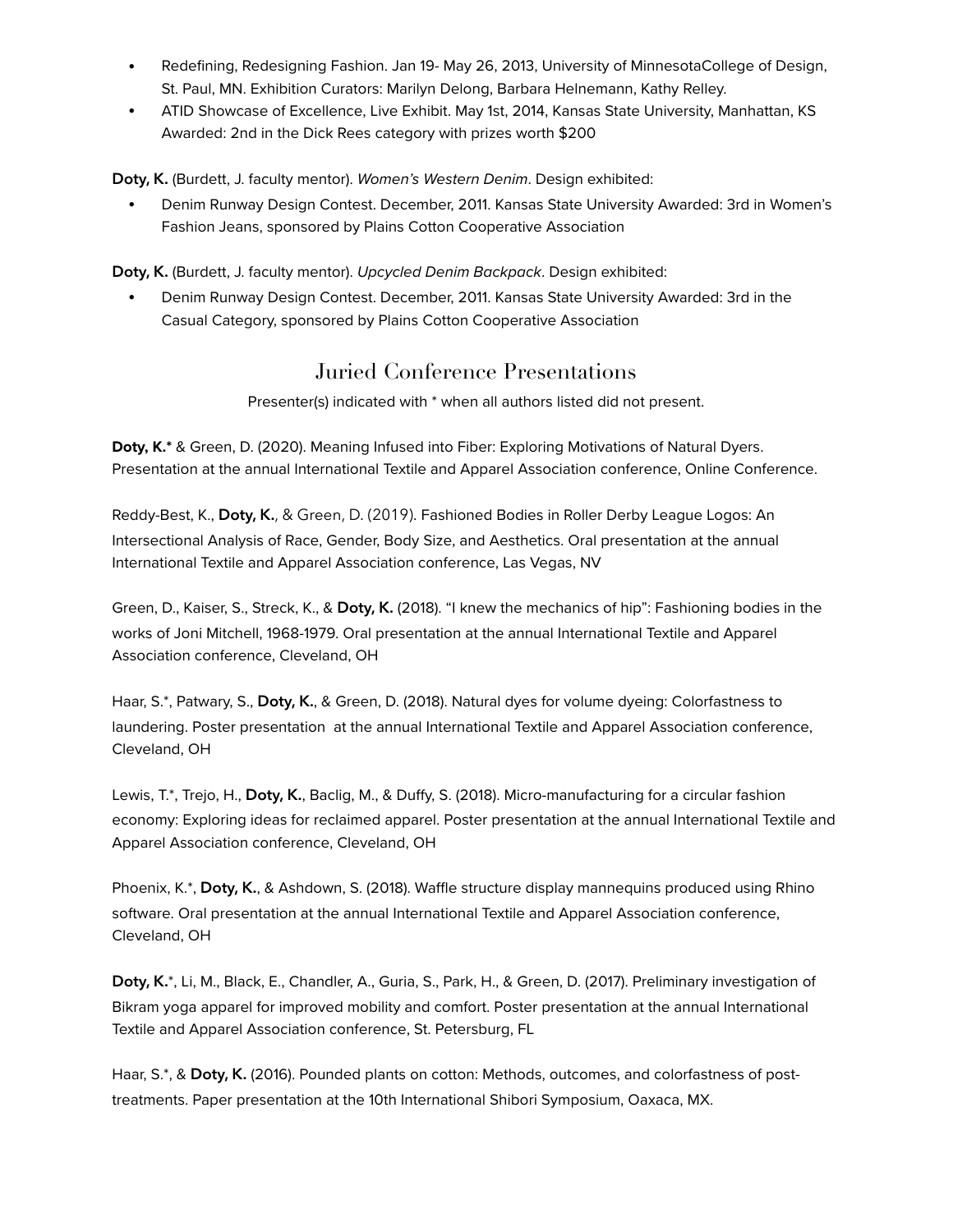- Redefining, Redesigning Fashion. Jan 19- May 26, 2013, University of MinnesotaCollege of Design, St. Paul, MN. Exhibition Curators: Marilyn Delong, Barbara Helnemann, Kathy Relley.
- ATID Showcase of Excellence, Live Exhibit. May 1st, 2014, Kansas State University, Manhattan, KS Awarded: 2nd in the Dick Rees category with prizes worth \$200

**Doty, K.** (Burdett, J. faculty mentor). *Women's Western Denim*. Design exhibited:

• Denim Runway Design Contest. December, 2011. Kansas State University Awarded: 3rd in Women's Fashion Jeans, sponsored by Plains Cotton Cooperative Association

**Doty, K.** (Burdett, J. faculty mentor). *Upcycled Denim Backpack*. Design exhibited:

• Denim Runway Design Contest. December, 2011. Kansas State University Awarded: 3rd in the Casual Category, sponsored by Plains Cotton Cooperative Association

### Juried Conference Presentations

Presenter(s) indicated with \* when all authors listed did not present.

**Doty, K.\*** & Green, D. (2020). Meaning Infused into Fiber: Exploring Motivations of Natural Dyers. Presentation at the annual International Textile and Apparel Association conference, Online Conference.

Reddy-Best, K., **Doty, K.**, & Green, D. (2019). Fashioned Bodies in Roller Derby League Logos: An Intersectional Analysis of Race, Gender, Body Size, and Aesthetics. Oral presentation at the annual International Textile and Apparel Association conference, Las Vegas, NV

Green, D., Kaiser, S., Streck, K., & **Doty, K.** (2018). "I knew the mechanics of hip": Fashioning bodies in the works of Joni Mitchell, 1968-1979. Oral presentation at the annual International Textile and Apparel Association conference, Cleveland, OH

Haar, S.\*, Patwary, S., **Doty, K.**, & Green, D. (2018). Natural dyes for volume dyeing: Colorfastness to laundering. Poster presentation at the annual International Textile and Apparel Association conference, Cleveland, OH

Lewis, T.\*, Trejo, H., **Doty, K.**, Baclig, M., & Duffy, S. (2018). Micro-manufacturing for a circular fashion economy: Exploring ideas for reclaimed apparel. Poster presentation at the annual International Textile and Apparel Association conference, Cleveland, OH

Phoenix, K.\*, **Doty, K.**, & Ashdown, S. (2018). Waffle structure display mannequins produced using Rhino software. Oral presentation at the annual International Textile and Apparel Association conference, Cleveland, OH

**Doty, K.**\*, Li, M., Black, E., Chandler, A., Guria, S., Park, H., & Green, D. (2017). Preliminary investigation of Bikram yoga apparel for improved mobility and comfort. Poster presentation at the annual International Textile and Apparel Association conference, St. Petersburg, FL

Haar, S.\*, & **Doty, K.** (2016). Pounded plants on cotton: Methods, outcomes, and colorfastness of posttreatments. Paper presentation at the 10th International Shibori Symposium, Oaxaca, MX.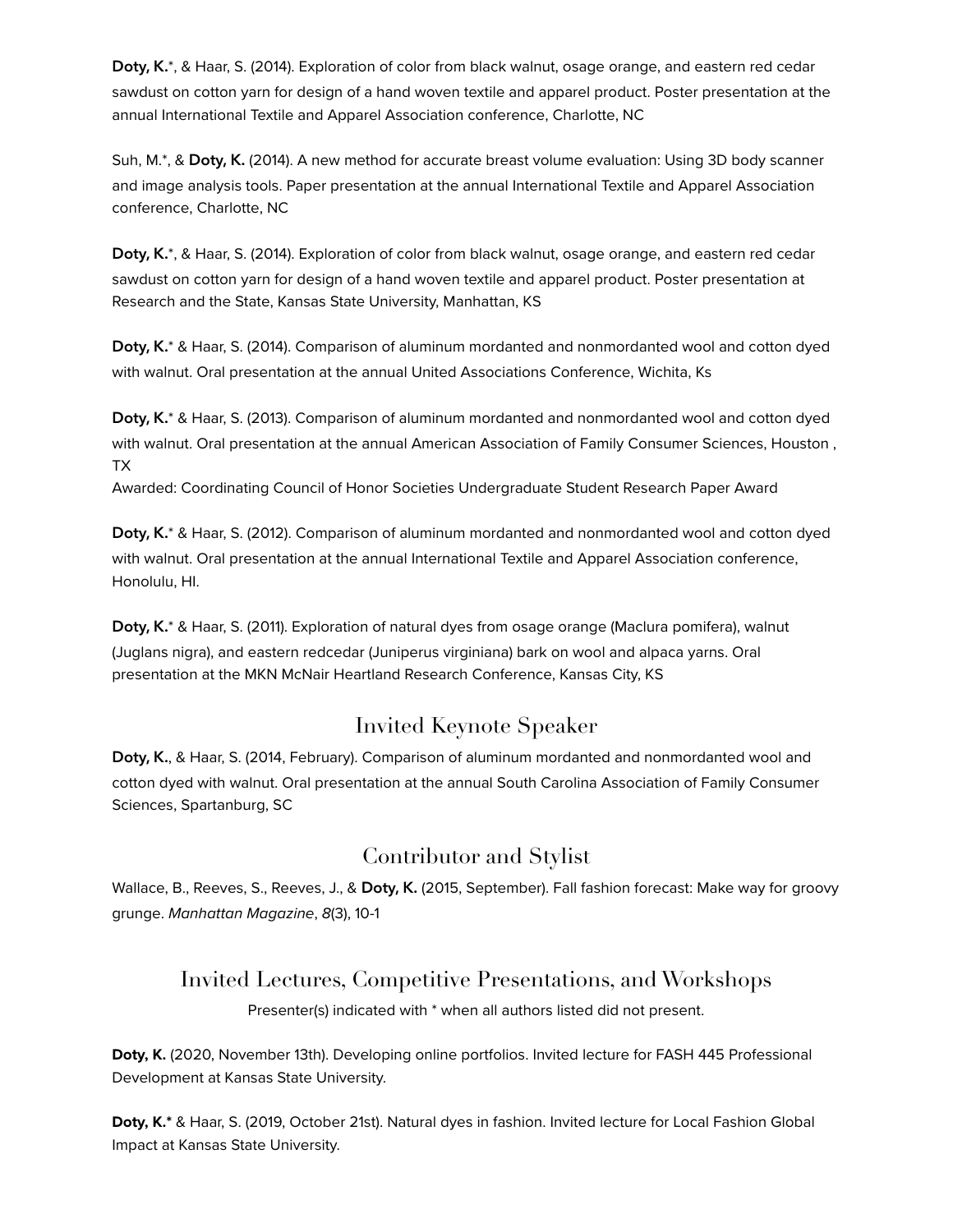**Doty, K.**\*, & Haar, S. (2014). Exploration of color from black walnut, osage orange, and eastern red cedar sawdust on cotton yarn for design of a hand woven textile and apparel product. Poster presentation at the annual International Textile and Apparel Association conference, Charlotte, NC

Suh, M.\*, & **Doty, K.** (2014). A new method for accurate breast volume evaluation: Using 3D body scanner and image analysis tools. Paper presentation at the annual International Textile and Apparel Association conference, Charlotte, NC

**Doty, K.**\*, & Haar, S. (2014). Exploration of color from black walnut, osage orange, and eastern red cedar sawdust on cotton yarn for design of a hand woven textile and apparel product. Poster presentation at Research and the State, Kansas State University, Manhattan, KS

**Doty, K.**\* & Haar, S. (2014). Comparison of aluminum mordanted and nonmordanted wool and cotton dyed with walnut. Oral presentation at the annual United Associations Conference, Wichita, Ks

**Doty, K.**\* & Haar, S. (2013). Comparison of aluminum mordanted and nonmordanted wool and cotton dyed with walnut. Oral presentation at the annual American Association of Family Consumer Sciences, Houston , TX

Awarded: Coordinating Council of Honor Societies Undergraduate Student Research Paper Award

**Doty, K.**\* & Haar, S. (2012). Comparison of aluminum mordanted and nonmordanted wool and cotton dyed with walnut. Oral presentation at the annual International Textile and Apparel Association conference, Honolulu, HI.

**Doty, K.**\* & Haar, S. (2011). Exploration of natural dyes from osage orange (Maclura pomifera), walnut (Juglans nigra), and eastern redcedar (Juniperus virginiana) bark on wool and alpaca yarns. Oral presentation at the MKN McNair Heartland Research Conference, Kansas City, KS

### Invited Keynote Speaker

**Doty, K.**, & Haar, S. (2014, February). Comparison of aluminum mordanted and nonmordanted wool and cotton dyed with walnut. Oral presentation at the annual South Carolina Association of Family Consumer Sciences, Spartanburg, SC

### Contributor and Stylist

Wallace, B., Reeves, S., Reeves, J., & **Doty, K.** (2015, September). Fall fashion forecast: Make way for groovy grunge. *Manhattan Magazine*, *8*(3), 10-1

### Invited Lectures, Competitive Presentations, and Workshops

Presenter(s) indicated with \* when all authors listed did not present.

**Doty, K.** (2020, November 13th). Developing online portfolios. Invited lecture for FASH 445 Professional Development at Kansas State University.

**Doty, K.\*** & Haar, S. (2019, October 21st). Natural dyes in fashion. Invited lecture for Local Fashion Global Impact at Kansas State University.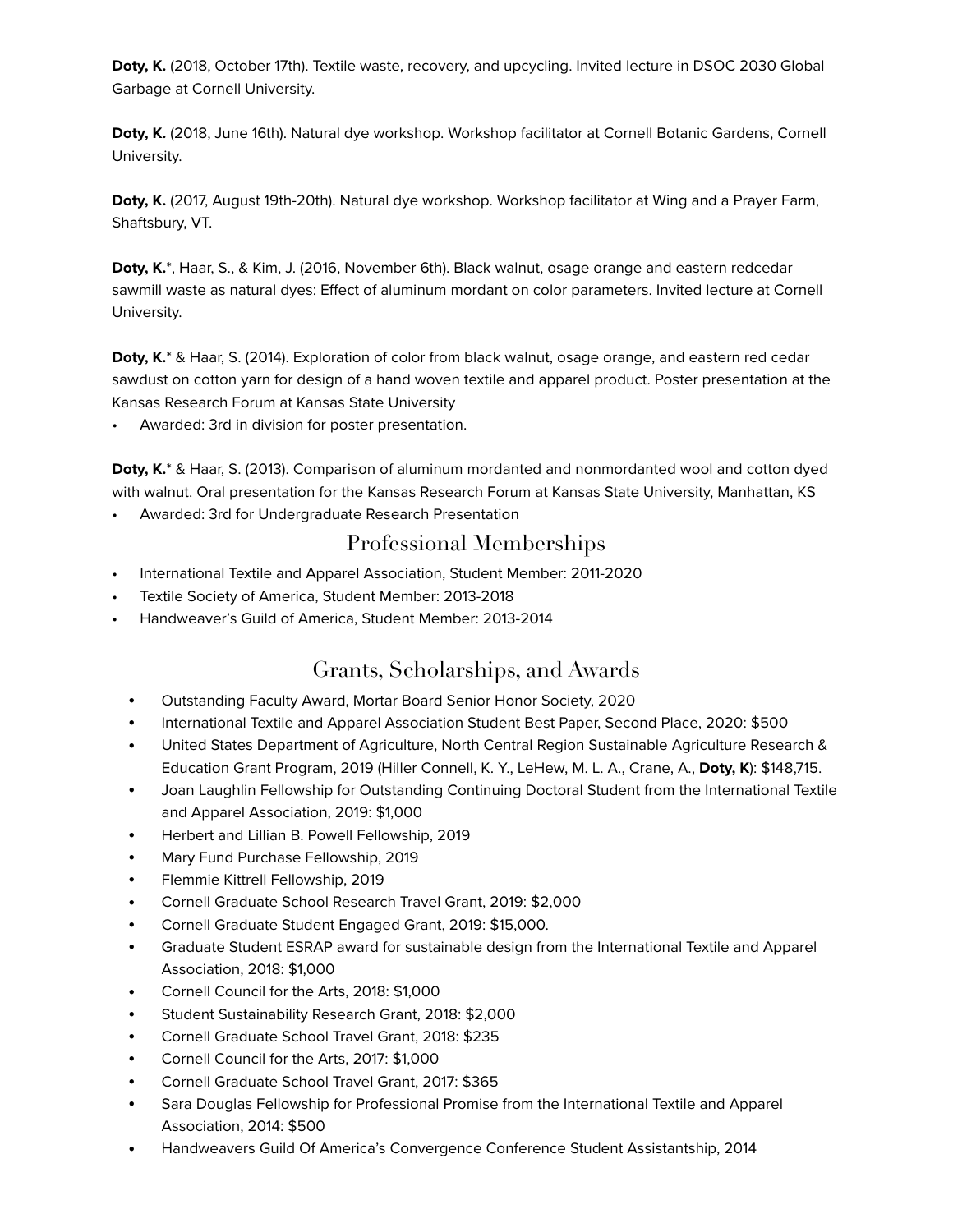**Doty, K.** (2018, October 17th). Textile waste, recovery, and upcycling. Invited lecture in DSOC 2030 Global Garbage at Cornell University.

**Doty, K.** (2018, June 16th). Natural dye workshop. Workshop facilitator at Cornell Botanic Gardens, Cornell University.

**Doty, K.** (2017, August 19th-20th). Natural dye workshop. Workshop facilitator at Wing and a Prayer Farm, Shaftsbury, VT.

**Doty, K.**\*, Haar, S., & Kim, J. (2016, November 6th). Black walnut, osage orange and eastern redcedar sawmill waste as natural dyes: Effect of aluminum mordant on color parameters. Invited lecture at Cornell University.

**Doty, K.**\* & Haar, S. (2014). Exploration of color from black walnut, osage orange, and eastern red cedar sawdust on cotton yarn for design of a hand woven textile and apparel product. Poster presentation at the Kansas Research Forum at Kansas State University

Awarded: 3rd in division for poster presentation.

**Doty, K.**\* & Haar, S. (2013). Comparison of aluminum mordanted and nonmordanted wool and cotton dyed with walnut. Oral presentation for the Kansas Research Forum at Kansas State University, Manhattan, KS

• Awarded: 3rd for Undergraduate Research Presentation

### Professional Memberships

- International Textile and Apparel Association, Student Member: 2011-2020
- Textile Society of America, Student Member: 2013-2018
- Handweaver's Guild of America, Student Member: 2013-2014

### Grants, Scholarships, and Awards

- Outstanding Faculty Award, Mortar Board Senior Honor Society, 2020
- International Textile and Apparel Association Student Best Paper, Second Place, 2020: \$500
- United States Department of Agriculture, North Central Region Sustainable Agriculture Research & Education Grant Program, 2019 (Hiller Connell, K. Y., LeHew, M. L. A., Crane, A., **Doty, K**): \$148,715.
- Joan Laughlin Fellowship for Outstanding Continuing Doctoral Student from the International Textile and Apparel Association, 2019: \$1,000
- Herbert and Lillian B. Powell Fellowship, 2019
- Mary Fund Purchase Fellowship, 2019
- Flemmie Kittrell Fellowship, 2019
- Cornell Graduate School Research Travel Grant, 2019: \$2,000
- Cornell Graduate Student Engaged Grant, 2019: \$15,000.
- Graduate Student ESRAP award for sustainable design from the International Textile and Apparel Association, 2018: \$1,000
- Cornell Council for the Arts, 2018: \$1,000
- Student Sustainability Research Grant, 2018: \$2,000
- Cornell Graduate School Travel Grant, 2018: \$235
- Cornell Council for the Arts, 2017: \$1,000
- Cornell Graduate School Travel Grant, 2017: \$365
- Sara Douglas Fellowship for Professional Promise from the International Textile and Apparel Association, 2014: \$500
- Handweavers Guild Of America's Convergence Conference Student Assistantship, 2014